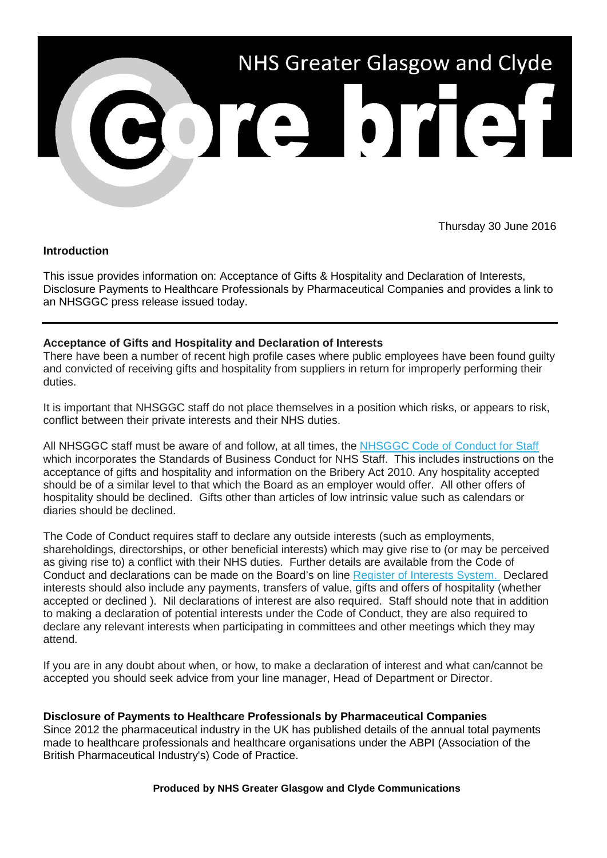

Thursday 30 June 2016

## **Introduction**

This issue provides information on: Acceptance of Gifts & Hospitality and Declaration of Interests, Disclosure Payments to Healthcare Professionals by Pharmaceutical Companies and provides a link to an NHSGGC press release issued today.

## **Acceptance of Gifts and Hospitality and Declaration of Interests**

There have been a number of recent high profile cases where public employees have been found guilty and convicted of receiving gifts and hospitality from suppliers in return for improperly performing their duties.

It is important that NHSGGC staff do not place themselves in a position which risks, or appears to risk, conflict between their private interests and their NHS duties.

All NHSGGC staff must be aware of and follow, at all times, the NHSGGC Code of Conduct for Staff [w](http://nhsggc.us12.list-manage1.com/track/click?u=0f385b5aea37eaf0213bd19fb&id=cde9d0dd8f&e=5af5e1832c)hich incorporates the Standards of Business Conduct for NHS Staff. This includes instructions on the acceptance of gifts and hospitality and information on the Bribery Act 2010. Any hospitality accepted should be of a similar level to that which the Board as an employer would offer. All other offers of hospitality should be declined. Gifts other than articles of low intrinsic value such as calendars or diaries should be declined.

The Code of Conduct requires staff to declare any outside interests (such as employments, shareholdings, directorships, or other beneficial interests) which may give rise to (or may be perceived as giving rise to) a conflict with their NHS duties. Further details are available from the Code of Conduct and declarations can be made on the Board's on line [Register of Interests System.](http://nhsggc.us12.list-manage.com/track/click?u=0f385b5aea37eaf0213bd19fb&id=bc8ef029ba&e=5af5e1832c) Declared interests should also include any payments, transfers of value, gifts and offers of hospitality (whether accepted or declined ). Nil declarations of interest are also required. Staff should note that in addition to making a declaration of potential interests under the Code of Conduct, they are also required to declare any relevant interests when participating in committees and other meetings which they may attend.

If you are in any doubt about when, or how, to make a declaration of interest and what can/cannot be accepted you should seek advice from your line manager, Head of Department or Director.

**Disclosure of Payments to Healthcare Professionals by Pharmaceutical Companies** Since 2012 the pharmaceutical industry in the UK has published details of the annual total payments made to healthcare professionals and healthcare organisations under the ABPI (Association of the British Pharmaceutical Industry's) Code of Practice.

**Produced by NHS Greater Glasgow and Clyde Communications**